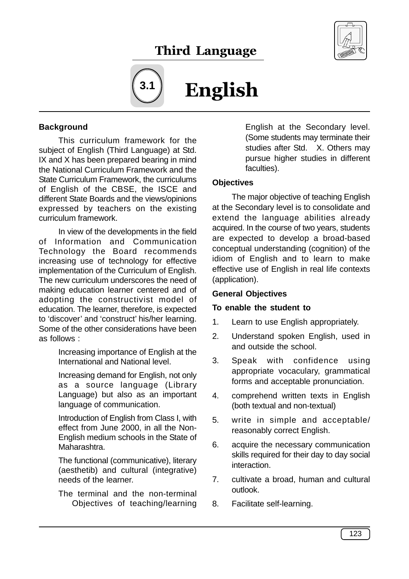# Third Language



# **3.1**

# English

#### **Background**

This curriculum framework for the subject of English (Third Language) at Std. IX and X has been prepared bearing in mind the National Curriculum Framework and the State Curriculum Framework, the curriculums of English of the CBSE, the ISCE and different State Boards and the views/opinions expressed by teachers on the existing curriculum framework.

In view of the developments in the field of Information and Communication Technology the Board recommends increasing use of technology for effective implementation of the Curriculum of English. The new curriculum underscores the need of making education learner centered and of adopting the constructivist model of education. The learner, therefore, is expected to 'discover' and 'construct' his/her learning. Some of the other considerations have been as follows :

> Increasing importance of English at the International and National level.

> Increasing demand for English, not only as a source language (Library Language) but also as an important language of communication.

> Introduction of English from Class I, with effect from June 2000, in all the Non-English medium schools in the State of Maharashtra.

> The functional (communicative), literary (aesthetib) and cultural (integrative) needs of the learner.

> The terminal and the non-terminal Objectives of teaching/learning

English at the Secondary level. (Some students may terminate their studies after Std. X. Others may pursue higher studies in different faculties).

#### **Objectives**

The major objective of teaching English at the Secondary level is to consolidate and extend the language abilities already acquired. In the course of two years, students are expected to develop a broad-based conceptual understanding (cognition) of the idiom of English and to learn to make effective use of English in real life contexts (application).

#### **General Objectives**

#### **To enable the student to**

- 1. Learn to use English appropriately.
- 2. Understand spoken English, used in and outside the school.
- 3. Speak with confidence using appropriate vocaculary, grammatical forms and acceptable pronunciation.
- 4. comprehend written texts in English (both textual and non-textual)
- 5. write in simple and acceptable/ reasonably correct English.
- 6. acquire the necessary communication skills required for their day to day social interaction.
- 7. cultivate a broad, human and cultural outlook.
- 8. Facilitate self-learning.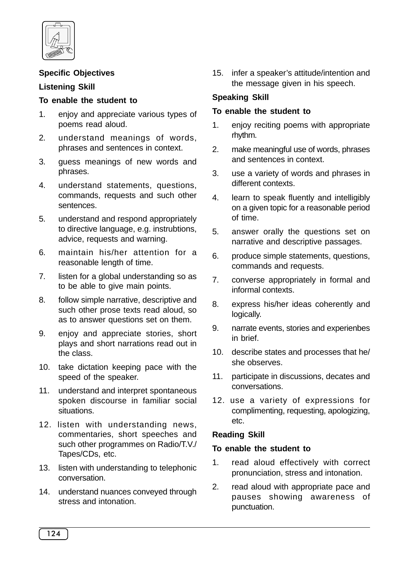

#### **Specific Objectives**

#### **Listening Skill**

#### **To enable the student to**

- 1. enjoy and appreciate various types of poems read aloud.
- 2. understand meanings of words, phrases and sentences in context.
- 3. guess meanings of new words and phrases.
- 4. understand statements, questions, commands, requests and such other sentences.
- 5. understand and respond appropriately to directive language, e.g. instrubtions, advice, requests and warning.
- 6. maintain his/her attention for a reasonable length of time.
- 7. listen for a global understanding so as to be able to give main points.
- 8. follow simple narrative, descriptive and such other prose texts read aloud, so as to answer questions set on them.
- 9. enjoy and appreciate stories, short plays and short narrations read out in the class.
- 10. take dictation keeping pace with the speed of the speaker.
- 11. understand and interpret spontaneous spoken discourse in familiar social situations.
- 12. listen with understanding news, commentaries, short speeches and such other programmes on Radio/T.V./ Tapes/CDs, etc.
- 13. listen with understanding to telephonic conversation.
- 14. understand nuances conveyed through stress and intonation.

15. infer a speaker's attitude/intention and the message given in his speech.

#### **Speaking Skill**

#### **To enable the student to**

- 1. enjoy reciting poems with appropriate rhythm.
- 2. make meaningful use of words, phrases and sentences in context.
- 3. use a variety of words and phrases in different contexts.
- 4. learn to speak fluently and intelligibly on a given topic for a reasonable period of time.
- 5. answer orally the questions set on narrative and descriptive passages.
- 6. produce simple statements, questions, commands and requests.
- 7. converse appropriately in formal and informal contexts.
- 8. express his/her ideas coherently and logically.
- 9. narrate events, stories and experienbes in brief.
- 10. describe states and processes that he/ she observes.
- 11. participate in discussions, decates and conversations.
- 12. use a variety of expressions for complimenting, requesting, apologizing, etc.

#### **Reading Skill**

#### **To enable the student to**

- 1. read aloud effectively with correct pronunciation, stress and intonation.
- 2. read aloud with appropriate pace and pauses showing awareness of punctuation.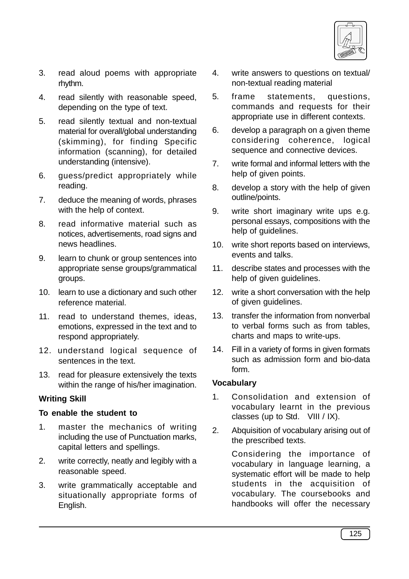

- 3. read aloud poems with appropriate rhythm.
- 4. read silently with reasonable speed, depending on the type of text.
- 5. read silently textual and non-textual material for overall/global understanding (skimming), for finding Specific information (scanning), for detailed understanding (intensive).
- 6. guess/predict appropriately while reading.
- 7. deduce the meaning of words, phrases with the help of context.
- 8. read informative material such as notices, advertisements, road signs and news headlines.
- 9. learn to chunk or group sentences into appropriate sense groups/grammatical groups.
- 10. learn to use a dictionary and such other reference material.
- 11. read to understand themes, ideas, emotions, expressed in the text and to respond appropriately.
- 12. understand logical sequence of sentences in the text.
- 13. read for pleasure extensively the texts within the range of his/her imagination.

#### **Writing Skill**

#### **To enable the student to**

- 1. master the mechanics of writing including the use of Punctuation marks, capital letters and spellings.
- 2. write correctly, neatly and legibly with a reasonable speed.
- 3. write grammatically acceptable and situationally appropriate forms of English.
- 4. write answers to questions on textual/ non-textual reading material
- 5. frame statements, questions, commands and requests for their appropriate use in different contexts.
- 6. develop a paragraph on a given theme considering coherence, logical sequence and connective devices.
- 7. write formal and informal letters with the help of given points.
- 8. develop a story with the help of given outline/points.
- 9. write short imaginary write ups e.g. personal essays, compositions with the help of guidelines.
- 10. write short reports based on interviews, events and talks.
- 11. describe states and processes with the help of given guidelines.
- 12. write a short conversation with the help of given guidelines.
- 13. transfer the information from nonverbal to verbal forms such as from tables, charts and maps to write-ups.
- 14. Fill in a variety of forms in given formats such as admission form and bio-data form.

#### **Vocabulary**

- 1. Consolidation and extension of vocabulary learnt in the previous classes (up to Std. VIII / IX).
- 2. Abquisition of vocabulary arising out of the prescribed texts.

Considering the importance of vocabulary in language learning, a systematic effort will be made to help students in the acquisition of vocabulary. The coursebooks and handbooks will offer the necessary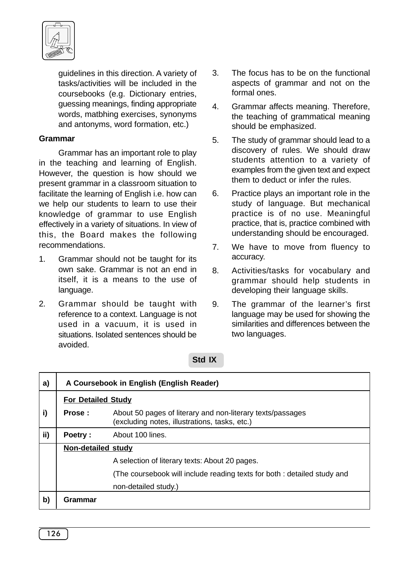

guidelines in this direction. A variety of tasks/activities will be included in the coursebooks (e.g. Dictionary entries, guessing meanings, finding appropriate words, matbhing exercises, synonyms and antonyms, word formation, etc.)

#### **Grammar**

Grammar has an important role to play in the teaching and learning of English. However, the question is how should we present grammar in a classroom situation to facilitate the learning of English i.e. how can we help our students to learn to use their knowledge of grammar to use English effectively in a variety of situations. In view of this, the Board makes the following recommendations.

- 1. Grammar should not be taught for its own sake. Grammar is not an end in itself, it is a means to the use of language.
- 2. Grammar should be taught with reference to a context. Language is not used in a vacuum, it is used in situations. Isolated sentences should be avoided.
- 3. The focus has to be on the functional aspects of grammar and not on the formal ones.
- 4. Grammar affects meaning. Therefore, the teaching of grammatical meaning should be emphasized.
- 5. The study of grammar should lead to a discovery of rules. We should draw students attention to a variety of examples from the given text and expect them to deduct or infer the rules.
- 6. Practice plays an important role in the study of language. But mechanical practice is of no use. Meaningful practice, that is, practice combined with understanding should be encouraged.
- 7. We have to move from fluency to accuracy.
- 8. Activities/tasks for vocabulary and grammar should help students in developing their language skills.
- 9. The grammar of the learner's first language may be used for showing the similarities and differences between the two languages.

#### **Std IX**

| a)  | A Coursebook in English (English Reader) |                                                                                                             |  |  |
|-----|------------------------------------------|-------------------------------------------------------------------------------------------------------------|--|--|
|     | <b>For Detailed Study</b>                |                                                                                                             |  |  |
| i)  | Prose:                                   | About 50 pages of literary and non-literary texts/passages<br>(excluding notes, illustrations, tasks, etc.) |  |  |
| ii) | <b>Poetry:</b>                           | About 100 lines.                                                                                            |  |  |
|     | <b>Non-detailed study</b>                |                                                                                                             |  |  |
|     |                                          | A selection of literary texts: About 20 pages.                                                              |  |  |
|     |                                          | (The coursebook will include reading texts for both: detailed study and                                     |  |  |
|     |                                          | non-detailed study.)                                                                                        |  |  |
| b)  | Grammar                                  |                                                                                                             |  |  |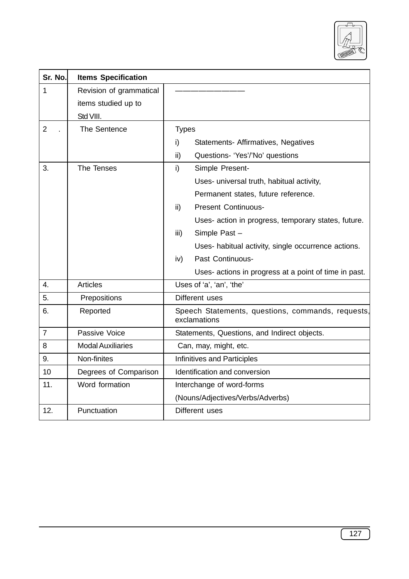

| Sr. No.        | <b>Items Specification</b> |                                                                   |  |  |  |  |
|----------------|----------------------------|-------------------------------------------------------------------|--|--|--|--|
| 1              | Revision of grammatical    |                                                                   |  |  |  |  |
|                | items studied up to        |                                                                   |  |  |  |  |
|                | Std VIII.                  |                                                                   |  |  |  |  |
| $\overline{2}$ | The Sentence               | <b>Types</b>                                                      |  |  |  |  |
|                |                            | i)<br>Statements- Affirmatives, Negatives                         |  |  |  |  |
|                |                            | Questions- 'Yes'/'No' questions<br>ii)                            |  |  |  |  |
| 3.             | The Tenses                 | i)<br>Simple Present-                                             |  |  |  |  |
|                |                            | Uses- universal truth, habitual activity,                         |  |  |  |  |
|                |                            | Permanent states, future reference.                               |  |  |  |  |
|                |                            | <b>Present Continuous-</b><br>ii)                                 |  |  |  |  |
|                |                            | Uses- action in progress, temporary states, future.               |  |  |  |  |
|                |                            | Simple Past-<br>iii)                                              |  |  |  |  |
|                |                            | Uses- habitual activity, single occurrence actions.               |  |  |  |  |
|                |                            | Past Continuous-<br>iv)                                           |  |  |  |  |
|                |                            | Uses- actions in progress at a point of time in past.             |  |  |  |  |
| 4.             | <b>Articles</b>            | Uses of 'a', 'an', 'the'                                          |  |  |  |  |
| 5.             | Prepositions               | Different uses                                                    |  |  |  |  |
| 6.             | Reported                   | Speech Statements, questions, commands, requests,<br>exclamations |  |  |  |  |
| $\overline{7}$ | Passive Voice              | Statements, Questions, and Indirect objects.                      |  |  |  |  |
| 8              | <b>Modal Auxiliaries</b>   | Can, may, might, etc.                                             |  |  |  |  |
| 9.             | Non-finites                | Infinitives and Participles                                       |  |  |  |  |
| 10             | Degrees of Comparison      | Identification and conversion                                     |  |  |  |  |
| 11.            | Word formation             | Interchange of word-forms                                         |  |  |  |  |
|                |                            | (Nouns/Adjectives/Verbs/Adverbs)                                  |  |  |  |  |
| 12.            | Punctuation                | Different uses                                                    |  |  |  |  |